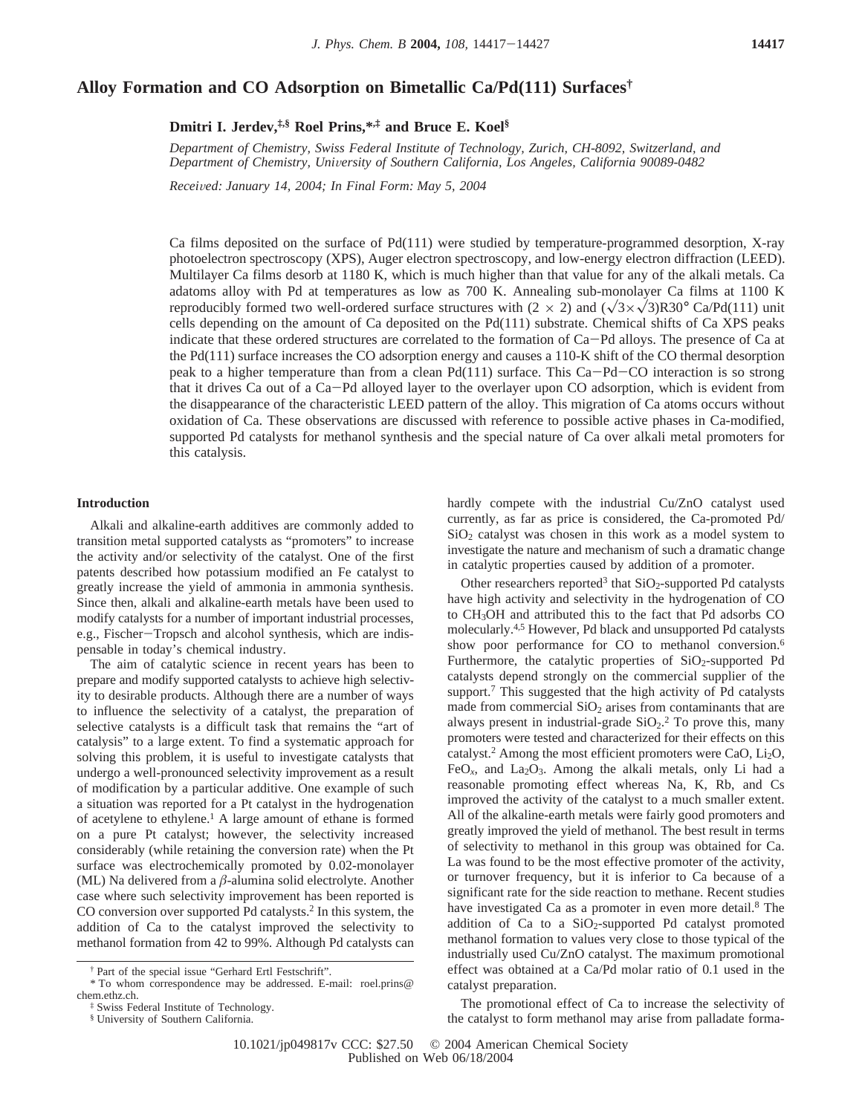# **Alloy Formation and CO Adsorption on Bimetallic Ca/Pd(111) Surfaces†**

**Dmitri I. Jerdev,‡,§ Roel Prins,\*,‡ and Bruce E. Koel§**

*Department of Chemistry, Swiss Federal Institute of Technology, Zurich, CH-8092, Switzerland, and Department of Chemistry, Uni*V*ersity of Southern California, Los Angeles, California 90089-0482*

*Recei*V*ed: January 14, 2004; In Final Form: May 5, 2004*

Ca films deposited on the surface of Pd(111) were studied by temperature-programmed desorption, X-ray photoelectron spectroscopy (XPS), Auger electron spectroscopy, and low-energy electron diffraction (LEED). Multilayer Ca films desorb at 1180 K, which is much higher than that value for any of the alkali metals. Ca adatoms alloy with Pd at temperatures as low as 700 K. Annealing sub-monolayer Ca films at 1100 K reproducibly formed two well-ordered surface structures with  $(2 \times 2)$  and  $(\sqrt{3} \times \sqrt{3})R30^{\circ}$  Ca/Pd(111) unit cells depending on the amount of Ca deposited on the Pd(111) substrate. Chemical shifts of Ca XPS peaks indicate that these ordered structures are correlated to the formation of Ca-Pd alloys. The presence of Ca at the Pd(111) surface increases the CO adsorption energy and causes a 110-K shift of the CO thermal desorption peak to a higher temperature than from a clean Pd(111) surface. This Ca-Pd-CO interaction is so strong that it drives Ca out of a Ca-Pd alloyed layer to the overlayer upon CO adsorption, which is evident from the disappearance of the characteristic LEED pattern of the alloy. This migration of Ca atoms occurs without oxidation of Ca. These observations are discussed with reference to possible active phases in Ca-modified, supported Pd catalysts for methanol synthesis and the special nature of Ca over alkali metal promoters for this catalysis.

## **Introduction**

Alkali and alkaline-earth additives are commonly added to transition metal supported catalysts as "promoters" to increase the activity and/or selectivity of the catalyst. One of the first patents described how potassium modified an Fe catalyst to greatly increase the yield of ammonia in ammonia synthesis. Since then, alkali and alkaline-earth metals have been used to modify catalysts for a number of important industrial processes, e.g., Fischer-Tropsch and alcohol synthesis, which are indispensable in today's chemical industry.

The aim of catalytic science in recent years has been to prepare and modify supported catalysts to achieve high selectivity to desirable products. Although there are a number of ways to influence the selectivity of a catalyst, the preparation of selective catalysts is a difficult task that remains the "art of catalysis" to a large extent. To find a systematic approach for solving this problem, it is useful to investigate catalysts that undergo a well-pronounced selectivity improvement as a result of modification by a particular additive. One example of such a situation was reported for a Pt catalyst in the hydrogenation of acetylene to ethylene.1 A large amount of ethane is formed on a pure Pt catalyst; however, the selectivity increased considerably (while retaining the conversion rate) when the Pt surface was electrochemically promoted by 0.02-monolayer (ML) Na delivered from a *â*-alumina solid electrolyte. Another case where such selectivity improvement has been reported is CO conversion over supported Pd catalysts.2 In this system, the addition of Ca to the catalyst improved the selectivity to methanol formation from 42 to 99%. Although Pd catalysts can

hardly compete with the industrial Cu/ZnO catalyst used currently, as far as price is considered, the Ca-promoted Pd/  $SiO<sub>2</sub>$  catalyst was chosen in this work as a model system to investigate the nature and mechanism of such a dramatic change in catalytic properties caused by addition of a promoter.

Other researchers reported<sup>3</sup> that  $SiO<sub>2</sub>$ -supported Pd catalysts have high activity and selectivity in the hydrogenation of CO to CH3OH and attributed this to the fact that Pd adsorbs CO molecularly.4,5 However, Pd black and unsupported Pd catalysts show poor performance for CO to methanol conversion.<sup>6</sup> Furthermore, the catalytic properties of  $SiO<sub>2</sub>$ -supported Pd catalysts depend strongly on the commercial supplier of the support.<sup>7</sup> This suggested that the high activity of Pd catalysts made from commercial  $SiO<sub>2</sub>$  arises from contaminants that are always present in industrial-grade  $SiO<sub>2</sub>$ .<sup>2</sup> To prove this, many promoters were tested and characterized for their effects on this catalyst.<sup>2</sup> Among the most efficient promoters were CaO, Li<sub>2</sub>O, FeO<sub>x</sub>, and La<sub>2</sub>O<sub>3</sub>. Among the alkali metals, only Li had a reasonable promoting effect whereas Na, K, Rb, and Cs improved the activity of the catalyst to a much smaller extent. All of the alkaline-earth metals were fairly good promoters and greatly improved the yield of methanol. The best result in terms of selectivity to methanol in this group was obtained for Ca. La was found to be the most effective promoter of the activity, or turnover frequency, but it is inferior to Ca because of a significant rate for the side reaction to methane. Recent studies have investigated Ca as a promoter in even more detail.<sup>8</sup> The addition of Ca to a  $SiO<sub>2</sub>$ -supported Pd catalyst promoted methanol formation to values very close to those typical of the industrially used Cu/ZnO catalyst. The maximum promotional effect was obtained at a Ca/Pd molar ratio of 0.1 used in the catalyst preparation.

The promotional effect of Ca to increase the selectivity of the catalyst to form methanol may arise from palladate forma-

<sup>†</sup> Part of the special issue "Gerhard Ertl Festschrift".

<sup>\*</sup> To whom correspondence may be addressed. E-mail: roel.prins@ chem.ethz.ch.

<sup>‡</sup> Swiss Federal Institute of Technology.

<sup>§</sup> University of Southern California.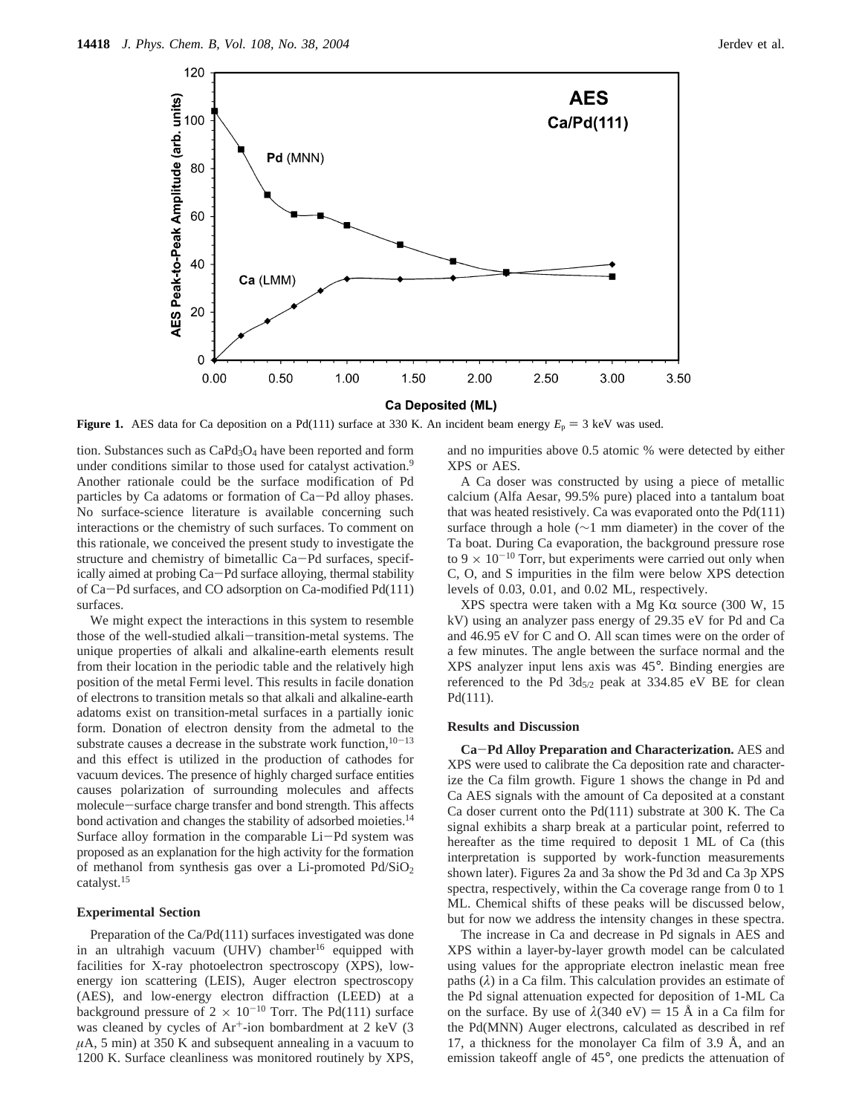

**Figure 1.** AES data for Ca deposition on a Pd(111) surface at 330 K. An incident beam energy  $E_p = 3$  keV was used.

tion. Substances such as  $CaPd<sub>3</sub>O<sub>4</sub>$  have been reported and form under conditions similar to those used for catalyst activation.<sup>9</sup> Another rationale could be the surface modification of Pd particles by Ca adatoms or formation of Ca-Pd alloy phases. No surface-science literature is available concerning such interactions or the chemistry of such surfaces. To comment on this rationale, we conceived the present study to investigate the structure and chemistry of bimetallic Ca-Pd surfaces, specifically aimed at probing Ca-Pd surface alloying, thermal stability of Ca-Pd surfaces, and CO adsorption on Ca-modified Pd(111) surfaces.

We might expect the interactions in this system to resemble those of the well-studied alkali-transition-metal systems. The unique properties of alkali and alkaline-earth elements result from their location in the periodic table and the relatively high position of the metal Fermi level. This results in facile donation of electrons to transition metals so that alkali and alkaline-earth adatoms exist on transition-metal surfaces in a partially ionic form. Donation of electron density from the admetal to the substrate causes a decrease in the substrate work function,  $10-13$ and this effect is utilized in the production of cathodes for vacuum devices. The presence of highly charged surface entities causes polarization of surrounding molecules and affects molecule-surface charge transfer and bond strength. This affects bond activation and changes the stability of adsorbed moieties.<sup>14</sup> Surface alloy formation in the comparable Li-Pd system was proposed as an explanation for the high activity for the formation of methanol from synthesis gas over a Li-promoted  $Pd/SiO<sub>2</sub>$ catalyst.15

### **Experimental Section**

Preparation of the Ca/Pd(111) surfaces investigated was done in an ultrahigh vacuum (UHV) chamber<sup>16</sup> equipped with facilities for X-ray photoelectron spectroscopy (XPS), lowenergy ion scattering (LEIS), Auger electron spectroscopy (AES), and low-energy electron diffraction (LEED) at a background pressure of  $2 \times 10^{-10}$  Torr. The Pd(111) surface was cleaned by cycles of Ar<sup>+</sup>-ion bombardment at 2 keV (3)  $\mu$ A, 5 min) at 350 K and subsequent annealing in a vacuum to 1200 K. Surface cleanliness was monitored routinely by XPS, and no impurities above 0.5 atomic % were detected by either XPS or AES.

A Ca doser was constructed by using a piece of metallic calcium (Alfa Aesar, 99.5% pure) placed into a tantalum boat that was heated resistively. Ca was evaporated onto the Pd(111) surface through a hole (∼1 mm diameter) in the cover of the Ta boat. During Ca evaporation, the background pressure rose to 9  $\times$  10<sup>-10</sup> Torr, but experiments were carried out only when C, O, and S impurities in the film were below XPS detection levels of 0.03, 0.01, and 0.02 ML, respectively.

XPS spectra were taken with a Mg K $\alpha$  source (300 W, 15) kV) using an analyzer pass energy of 29.35 eV for Pd and Ca and 46.95 eV for C and O. All scan times were on the order of a few minutes. The angle between the surface normal and the XPS analyzer input lens axis was 45°. Binding energies are referenced to the Pd  $3d_{5/2}$  peak at 334.85 eV BE for clean Pd(111).

## **Results and Discussion**

**Ca**-**Pd Alloy Preparation and Characterization.** AES and XPS were used to calibrate the Ca deposition rate and characterize the Ca film growth. Figure 1 shows the change in Pd and Ca AES signals with the amount of Ca deposited at a constant Ca doser current onto the Pd(111) substrate at 300 K. The Ca signal exhibits a sharp break at a particular point, referred to hereafter as the time required to deposit 1 ML of Ca (this interpretation is supported by work-function measurements shown later). Figures 2a and 3a show the Pd 3d and Ca 3p XPS spectra, respectively, within the Ca coverage range from 0 to 1 ML. Chemical shifts of these peaks will be discussed below, but for now we address the intensity changes in these spectra.

The increase in Ca and decrease in Pd signals in AES and XPS within a layer-by-layer growth model can be calculated using values for the appropriate electron inelastic mean free paths (*λ*) in a Ca film. This calculation provides an estimate of the Pd signal attenuation expected for deposition of 1-ML Ca on the surface. By use of  $\lambda$ (340 eV) = 15 Å in a Ca film for the Pd(MNN) Auger electrons, calculated as described in ref 17, a thickness for the monolayer Ca film of 3.9 Å, and an emission takeoff angle of 45°, one predicts the attenuation of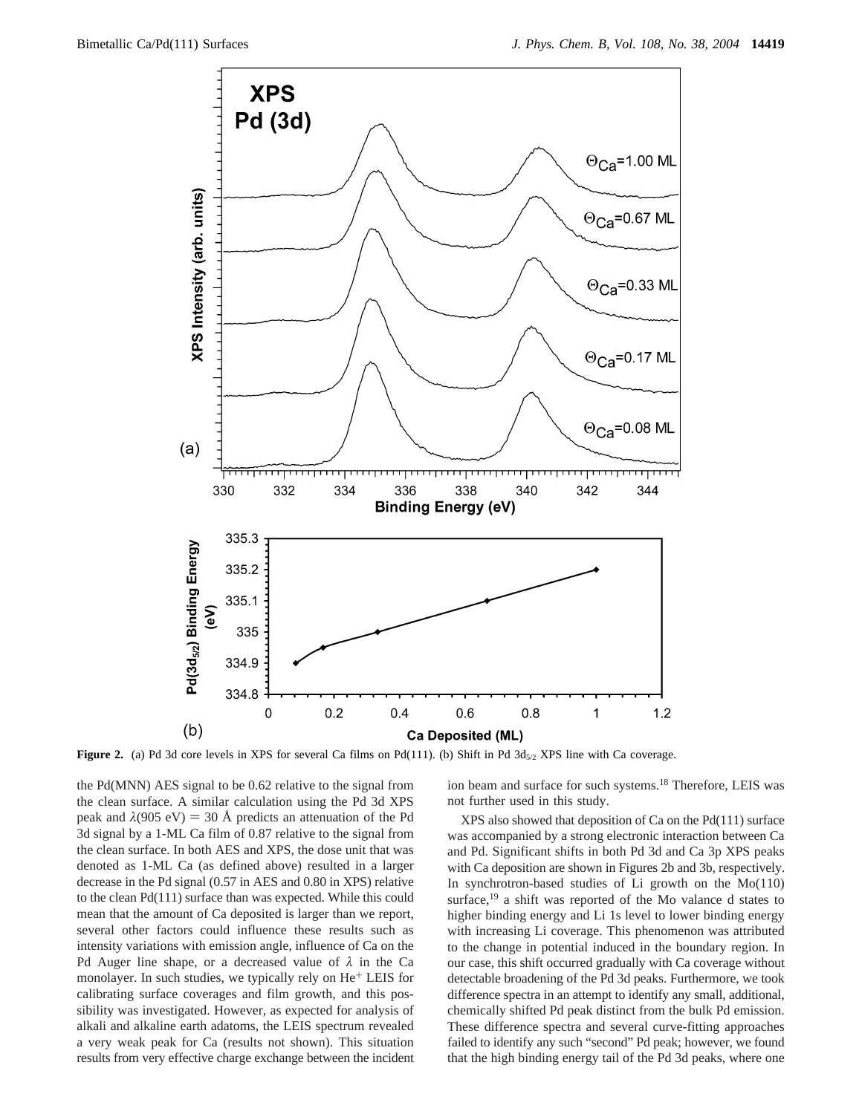

**Figure 2.** (a) Pd 3d core levels in XPS for several Ca films on Pd(111). (b) Shift in Pd  $3d_{5/2}$  XPS line with Ca coverage.

the Pd(MNN) AES signal to be 0.62 relative to the signal from the clean surface. A similar calculation using the Pd 3d XPS peak and  $\lambda$ (905 eV) = 30 Å predicts an attenuation of the Pd 3d signal by a 1-ML Ca film of 0.87 relative to the signal from the clean surface. In both AES and XPS, the dose unit that was denoted as 1-ML Ca (as defined above) resulted in a larger decrease in the Pd signal (0.57 in AES and 0.80 in XPS) relative to the clean Pd(111) surface than was expected. While this could mean that the amount of Ca deposited is larger than we report, several other factors could influence these results such as intensity variations with emission angle, influence of Ca on the Pd Auger line shape, or a decreased value of *λ* in the Ca monolayer. In such studies, we typically rely on He<sup>+</sup> LEIS for calibrating surface coverages and film growth, and this possibility was investigated. However, as expected for analysis of alkali and alkaline earth adatoms, the LEIS spectrum revealed a very weak peak for Ca (results not shown). This situation results from very effective charge exchange between the incident

ion beam and surface for such systems.18 Therefore, LEIS was not further used in this study.

XPS also showed that deposition of Ca on the Pd(111) surface was accompanied by a strong electronic interaction between Ca and Pd. Significant shifts in both Pd 3d and Ca 3p XPS peaks with Ca deposition are shown in Figures 2b and 3b, respectively. In synchrotron-based studies of Li growth on the Mo(110) surface,<sup>19</sup> a shift was reported of the Mo valance d states to higher binding energy and Li 1s level to lower binding energy with increasing Li coverage. This phenomenon was attributed to the change in potential induced in the boundary region. In our case, this shift occurred gradually with Ca coverage without detectable broadening of the Pd 3d peaks. Furthermore, we took difference spectra in an attempt to identify any small, additional, chemically shifted Pd peak distinct from the bulk Pd emission. These difference spectra and several curve-fitting approaches failed to identify any such "second" Pd peak; however, we found that the high binding energy tail of the Pd 3d peaks, where one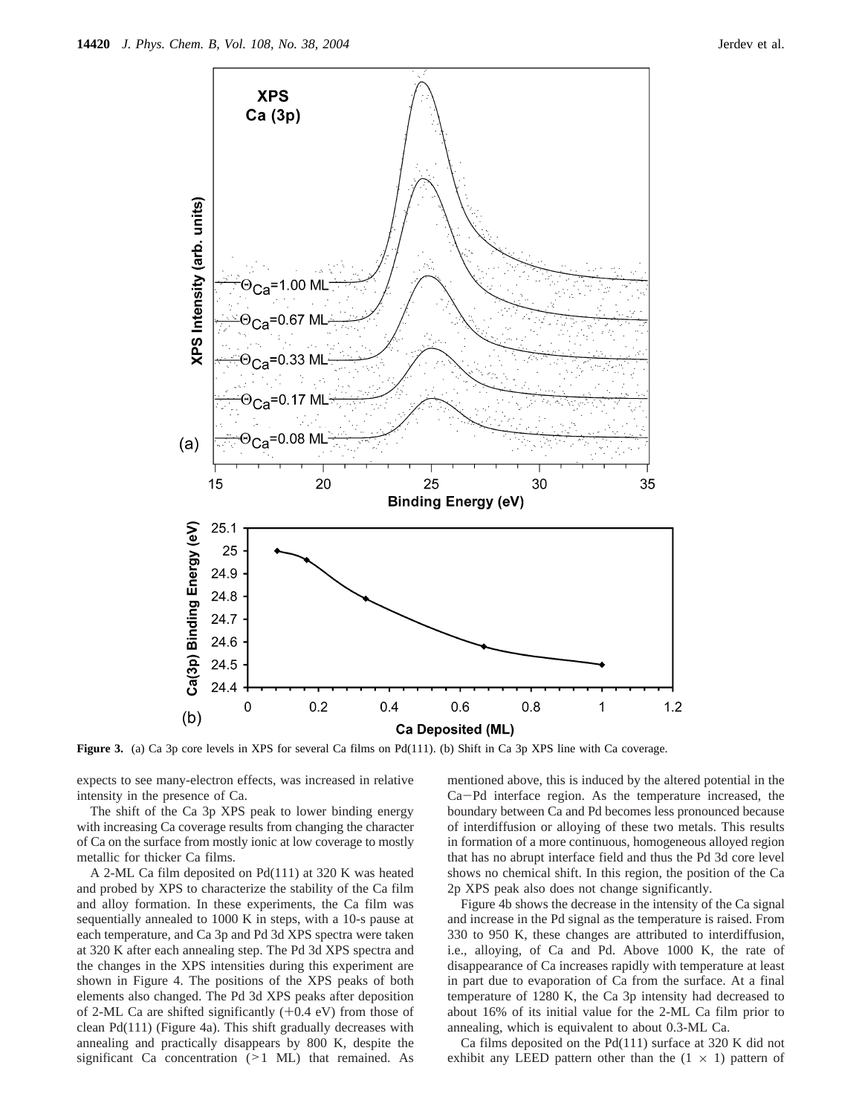

**Figure 3.** (a) Ca 3p core levels in XPS for several Ca films on Pd(111). (b) Shift in Ca 3p XPS line with Ca coverage.

expects to see many-electron effects, was increased in relative intensity in the presence of Ca.

The shift of the Ca 3p XPS peak to lower binding energy with increasing Ca coverage results from changing the character of Ca on the surface from mostly ionic at low coverage to mostly metallic for thicker Ca films.

A 2-ML Ca film deposited on Pd(111) at 320 K was heated and probed by XPS to characterize the stability of the Ca film and alloy formation. In these experiments, the Ca film was sequentially annealed to 1000 K in steps, with a 10-s pause at each temperature, and Ca 3p and Pd 3d XPS spectra were taken at 320 K after each annealing step. The Pd 3d XPS spectra and the changes in the XPS intensities during this experiment are shown in Figure 4. The positions of the XPS peaks of both elements also changed. The Pd 3d XPS peaks after deposition of 2-ML Ca are shifted significantly  $(+0.4 \text{ eV})$  from those of clean Pd(111) (Figure 4a). This shift gradually decreases with annealing and practically disappears by 800 K, despite the significant Ca concentration (>1 ML) that remained. As mentioned above, this is induced by the altered potential in the Ca-Pd interface region. As the temperature increased, the boundary between Ca and Pd becomes less pronounced because of interdiffusion or alloying of these two metals. This results in formation of a more continuous, homogeneous alloyed region that has no abrupt interface field and thus the Pd 3d core level shows no chemical shift. In this region, the position of the Ca 2p XPS peak also does not change significantly.

Figure 4b shows the decrease in the intensity of the Ca signal and increase in the Pd signal as the temperature is raised. From 330 to 950 K, these changes are attributed to interdiffusion, i.e., alloying, of Ca and Pd. Above 1000 K, the rate of disappearance of Ca increases rapidly with temperature at least in part due to evaporation of Ca from the surface. At a final temperature of 1280 K, the Ca 3p intensity had decreased to about 16% of its initial value for the 2-ML Ca film prior to annealing, which is equivalent to about 0.3-ML Ca.

Ca films deposited on the Pd(111) surface at 320 K did not exhibit any LEED pattern other than the  $(1 \times 1)$  pattern of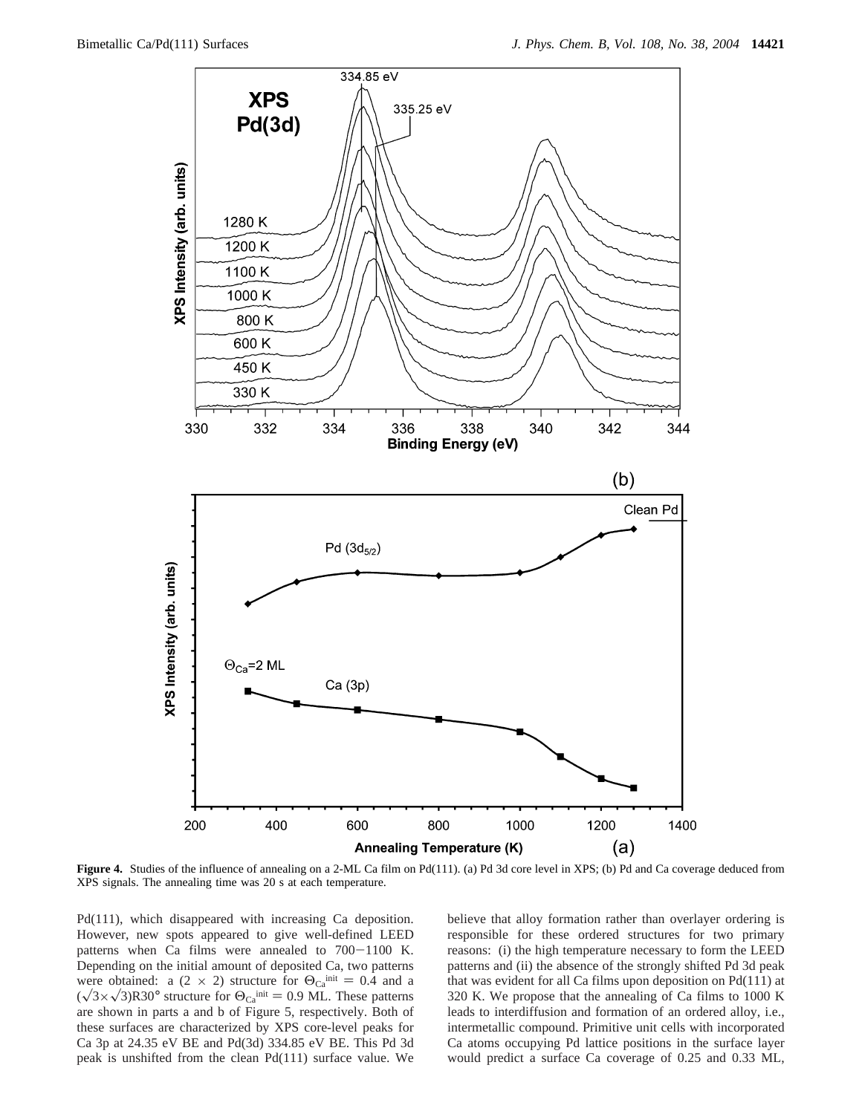

Figure 4. Studies of the influence of annealing on a 2-ML Ca film on Pd(111). (a) Pd 3d core level in XPS; (b) Pd and Ca coverage deduced from XPS signals. The annealing time was 20 s at each temperature.

Pd(111), which disappeared with increasing Ca deposition. However, new spots appeared to give well-defined LEED patterns when Ca films were annealed to 700-1100 K. Depending on the initial amount of deposited Ca, two patterns were obtained: a (2 × 2) structure for  $\Theta_{\text{Ca}}^{\text{init}} = 0.4$  and a  $(\sqrt{3} \times \sqrt{3})$ R30° structure for  $\Theta_{Ca}^{init} = 0.9$  ML. These patterns are shown in parts a and b of Figure 5, respectively. Both of these surfaces are characterized by XPS core-level peaks for Ca 3p at 24.35 eV BE and Pd(3d) 334.85 eV BE. This Pd 3d peak is unshifted from the clean Pd(111) surface value. We

believe that alloy formation rather than overlayer ordering is responsible for these ordered structures for two primary reasons: (i) the high temperature necessary to form the LEED patterns and (ii) the absence of the strongly shifted Pd 3d peak that was evident for all Ca films upon deposition on Pd(111) at 320 K. We propose that the annealing of Ca films to 1000 K leads to interdiffusion and formation of an ordered alloy, i.e., intermetallic compound. Primitive unit cells with incorporated Ca atoms occupying Pd lattice positions in the surface layer would predict a surface Ca coverage of 0.25 and 0.33 ML,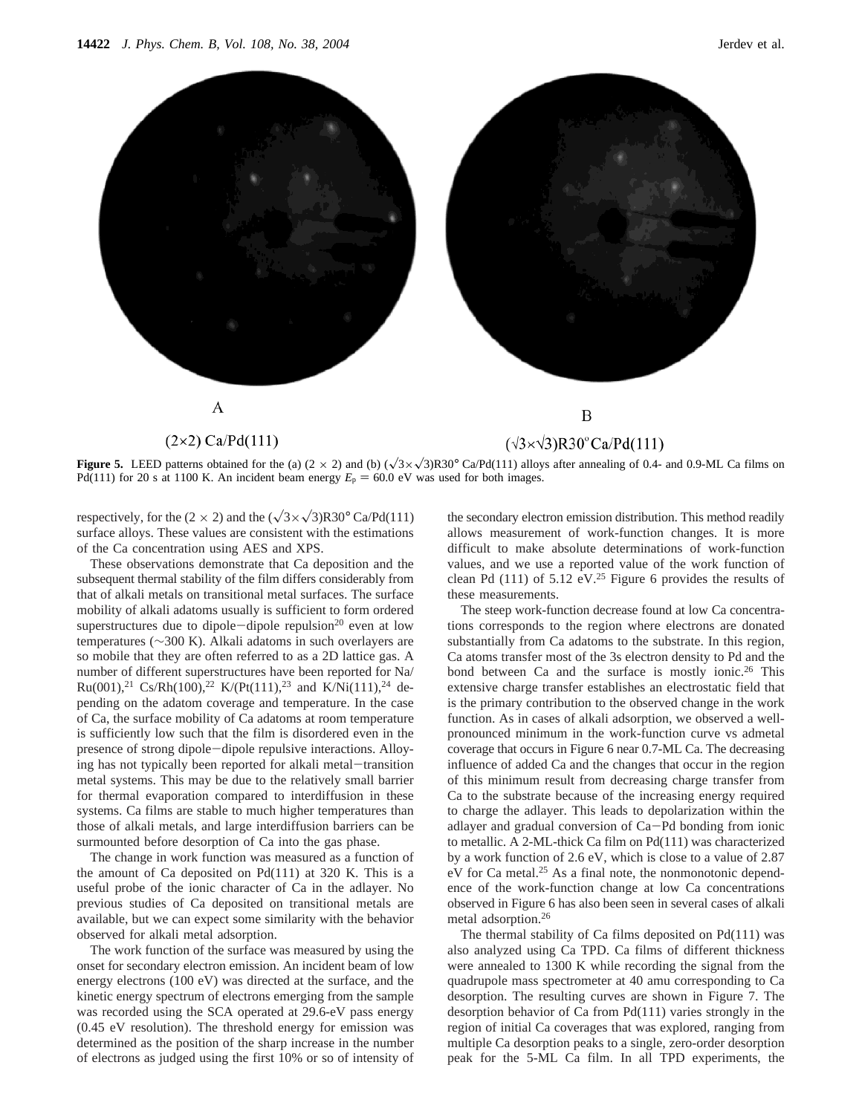

**Figure 5.** LEED patterns obtained for the (a)  $(2 \times 2)$  and (b)  $(\sqrt{3} \times \sqrt{3})R30^{\circ}$  Ca/Pd(111) alloys after annealing of 0.4- and 0.9-ML Ca films on Pd(111) for 20 s at 1100 K. An incident beam energy  $E_p = 60.0 \text{ eV}$  was used for both images.

respectively, for the (2  $\times$  2) and the ( $\sqrt{3} \times \sqrt{3}$ )R30° Ca/Pd(111) surface alloys. These values are consistent with the estimations of the Ca concentration using AES and XPS.

These observations demonstrate that Ca deposition and the subsequent thermal stability of the film differs considerably from that of alkali metals on transitional metal surfaces. The surface mobility of alkali adatoms usually is sufficient to form ordered superstructures due to dipole-dipole repulsion<sup>20</sup> even at low temperatures (∼300 K). Alkali adatoms in such overlayers are so mobile that they are often referred to as a 2D lattice gas. A number of different superstructures have been reported for Na/ Ru(001),<sup>21</sup> Cs/Rh(100),<sup>22</sup> K/(Pt(111),<sup>23</sup> and K/Ni(111),<sup>24</sup> depending on the adatom coverage and temperature. In the case of Ca, the surface mobility of Ca adatoms at room temperature is sufficiently low such that the film is disordered even in the presence of strong dipole-dipole repulsive interactions. Alloying has not typically been reported for alkali metal-transition metal systems. This may be due to the relatively small barrier for thermal evaporation compared to interdiffusion in these systems. Ca films are stable to much higher temperatures than those of alkali metals, and large interdiffusion barriers can be surmounted before desorption of Ca into the gas phase.

The change in work function was measured as a function of the amount of Ca deposited on Pd(111) at 320 K. This is a useful probe of the ionic character of Ca in the adlayer. No previous studies of Ca deposited on transitional metals are available, but we can expect some similarity with the behavior observed for alkali metal adsorption.

The work function of the surface was measured by using the onset for secondary electron emission. An incident beam of low energy electrons (100 eV) was directed at the surface, and the kinetic energy spectrum of electrons emerging from the sample was recorded using the SCA operated at 29.6-eV pass energy (0.45 eV resolution). The threshold energy for emission was determined as the position of the sharp increase in the number of electrons as judged using the first 10% or so of intensity of the secondary electron emission distribution. This method readily allows measurement of work-function changes. It is more difficult to make absolute determinations of work-function values, and we use a reported value of the work function of clean Pd (111) of 5.12  $eV<sup>25</sup>$  Figure 6 provides the results of these measurements.

The steep work-function decrease found at low Ca concentrations corresponds to the region where electrons are donated substantially from Ca adatoms to the substrate. In this region, Ca atoms transfer most of the 3s electron density to Pd and the bond between Ca and the surface is mostly ionic.<sup>26</sup> This extensive charge transfer establishes an electrostatic field that is the primary contribution to the observed change in the work function. As in cases of alkali adsorption, we observed a wellpronounced minimum in the work-function curve vs admetal coverage that occurs in Figure 6 near 0.7-ML Ca. The decreasing influence of added Ca and the changes that occur in the region of this minimum result from decreasing charge transfer from Ca to the substrate because of the increasing energy required to charge the adlayer. This leads to depolarization within the adlayer and gradual conversion of Ca-Pd bonding from ionic to metallic. A 2-ML-thick Ca film on Pd(111) was characterized by a work function of 2.6 eV, which is close to a value of 2.87 eV for Ca metal.<sup>25</sup> As a final note, the nonmonotonic dependence of the work-function change at low Ca concentrations observed in Figure 6 has also been seen in several cases of alkali metal adsorption.26

The thermal stability of Ca films deposited on Pd(111) was also analyzed using Ca TPD. Ca films of different thickness were annealed to 1300 K while recording the signal from the quadrupole mass spectrometer at 40 amu corresponding to Ca desorption. The resulting curves are shown in Figure 7. The desorption behavior of Ca from Pd(111) varies strongly in the region of initial Ca coverages that was explored, ranging from multiple Ca desorption peaks to a single, zero-order desorption peak for the 5-ML Ca film. In all TPD experiments, the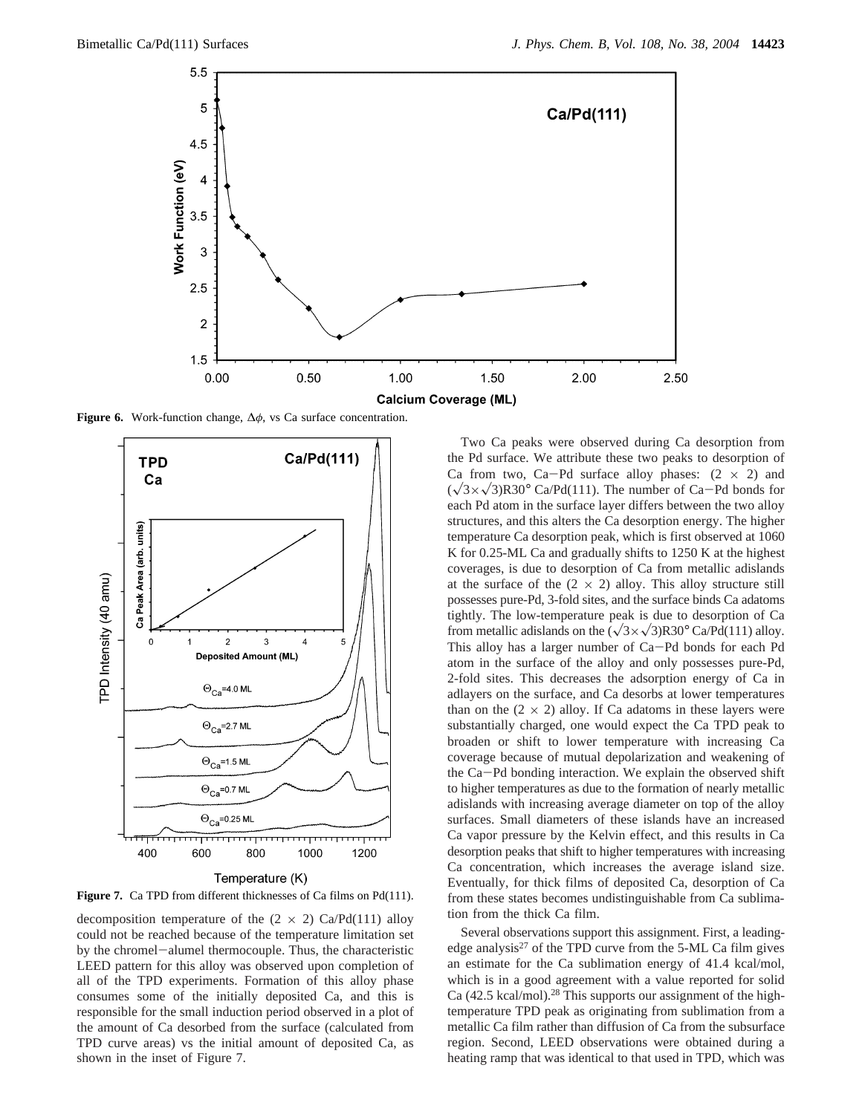

**Figure 6.** Work-function change, ∆*φ*, vs Ca surface concentration.



Temperature (K)

Figure 7. Ca TPD from different thicknesses of Ca films on Pd(111).

decomposition temperature of the  $(2 \times 2)$  Ca/Pd(111) alloy could not be reached because of the temperature limitation set by the chromel-alumel thermocouple. Thus, the characteristic LEED pattern for this alloy was observed upon completion of all of the TPD experiments. Formation of this alloy phase consumes some of the initially deposited Ca, and this is responsible for the small induction period observed in a plot of the amount of Ca desorbed from the surface (calculated from TPD curve areas) vs the initial amount of deposited Ca, as shown in the inset of Figure 7.

Two Ca peaks were observed during Ca desorption from the Pd surface. We attribute these two peaks to desorption of Ca from two, Ca-Pd surface alloy phases:  $(2 \times 2)$  and  $(\sqrt{3} \times \sqrt{3})$ R30° Ca/Pd(111). The number of Ca-Pd bonds for each Pd atom in the surface layer differs between the two alloy structures, and this alters the Ca desorption energy. The higher temperature Ca desorption peak, which is first observed at 1060 K for 0.25-ML Ca and gradually shifts to 1250 K at the highest coverages, is due to desorption of Ca from metallic adislands at the surface of the  $(2 \times 2)$  alloy. This alloy structure still possesses pure-Pd, 3-fold sites, and the surface binds Ca adatoms tightly. The low-temperature peak is due to desorption of Ca from metallic adislands on the  $(\sqrt{3} \times \sqrt{3})R30^{\circ}$  Ca/Pd(111) alloy. This alloy has a larger number of Ca-Pd bonds for each Pd atom in the surface of the alloy and only possesses pure-Pd, 2-fold sites. This decreases the adsorption energy of Ca in adlayers on the surface, and Ca desorbs at lower temperatures than on the  $(2 \times 2)$  alloy. If Ca adatoms in these layers were substantially charged, one would expect the Ca TPD peak to broaden or shift to lower temperature with increasing Ca coverage because of mutual depolarization and weakening of the Ca-Pd bonding interaction. We explain the observed shift to higher temperatures as due to the formation of nearly metallic adislands with increasing average diameter on top of the alloy surfaces. Small diameters of these islands have an increased Ca vapor pressure by the Kelvin effect, and this results in Ca desorption peaks that shift to higher temperatures with increasing Ca concentration, which increases the average island size. Eventually, for thick films of deposited Ca, desorption of Ca from these states becomes undistinguishable from Ca sublimation from the thick Ca film.

Several observations support this assignment. First, a leadingedge analysis<sup>27</sup> of the TPD curve from the 5-ML Ca film gives an estimate for the Ca sublimation energy of 41.4 kcal/mol, which is in a good agreement with a value reported for solid Ca (42.5 kcal/mol).28 This supports our assignment of the hightemperature TPD peak as originating from sublimation from a metallic Ca film rather than diffusion of Ca from the subsurface region. Second, LEED observations were obtained during a heating ramp that was identical to that used in TPD, which was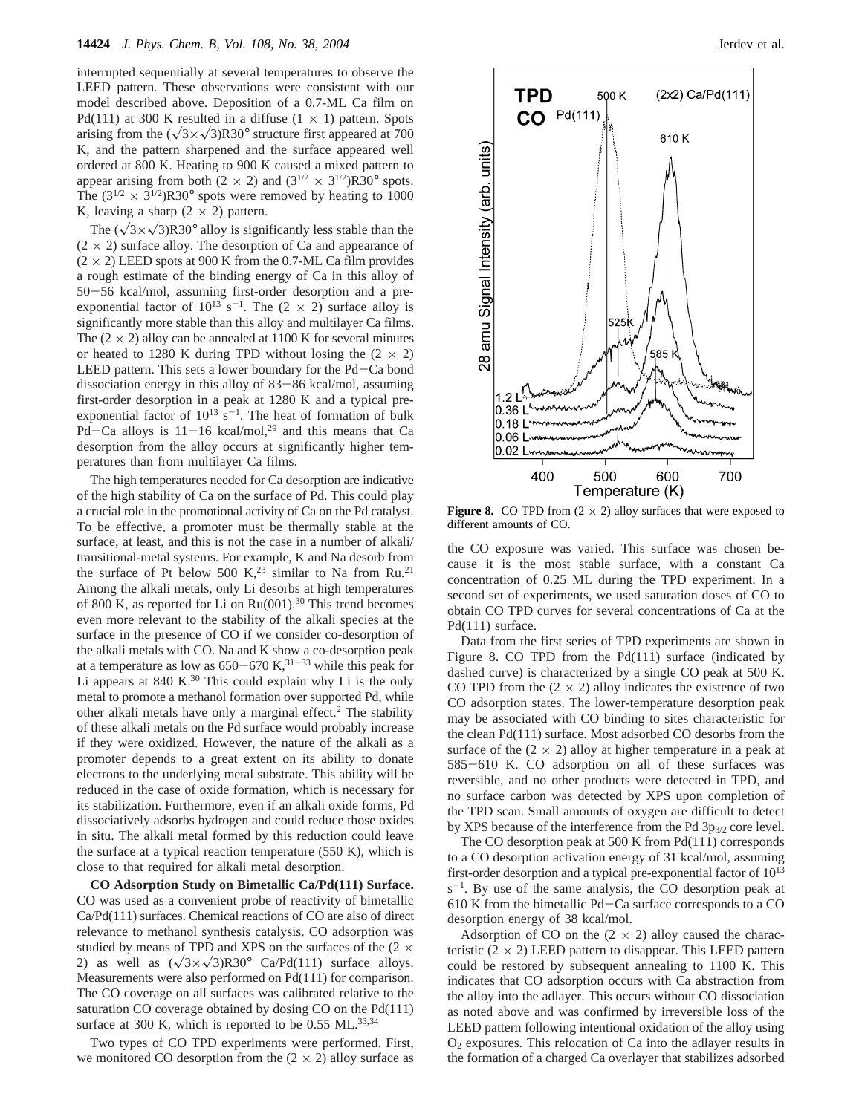interrupted sequentially at several temperatures to observe the LEED pattern. These observations were consistent with our model described above. Deposition of a 0.7-ML Ca film on Pd(111) at 300 K resulted in a diffuse  $(1 \times 1)$  pattern. Spots arising from the  $(\sqrt{3} \times \sqrt{3})R30^\circ$  structure first appeared at 700 K, and the pattern sharpened and the surface appeared well ordered at 800 K. Heating to 900 K caused a mixed pattern to appear arising from both (2  $\times$  2) and (3<sup>1/2</sup>  $\times$  3<sup>1/2</sup>)R30° spots. The  $(3^{1/2} \times 3^{1/2})$ R30° spots were removed by heating to 1000 K, leaving a sharp  $(2 \times 2)$  pattern.

The  $(\sqrt{3} \times \sqrt{3})R30^\circ$  alloy is significantly less stable than the  $(2 \times 2)$  surface alloy. The desorption of Ca and appearance of  $(2 \times 2)$  LEED spots at 900 K from the 0.7-ML Ca film provides a rough estimate of the binding energy of Ca in this alloy of <sup>50</sup>-56 kcal/mol, assuming first-order desorption and a preexponential factor of  $10^{13}$  s<sup>-1</sup>. The (2  $\times$  2) surface alloy is significantly more stable than this alloy and multilayer Ca films. The  $(2 \times 2)$  alloy can be annealed at 1100 K for several minutes or heated to 1280 K during TPD without losing the  $(2 \times 2)$ LEED pattern. This sets a lower boundary for the Pd-Ca bond dissociation energy in this alloy of 83-86 kcal/mol, assuming first-order desorption in a peak at 1280 K and a typical preexponential factor of  $10^{13}$  s<sup>-1</sup>. The heat of formation of bulk Pd-Ca alloys is  $11-16$  kcal/mol,<sup>29</sup> and this means that Ca desorption from the alloy occurs at significantly higher temperatures than from multilayer Ca films.

The high temperatures needed for Ca desorption are indicative of the high stability of Ca on the surface of Pd. This could play a crucial role in the promotional activity of Ca on the Pd catalyst. To be effective, a promoter must be thermally stable at the surface, at least, and this is not the case in a number of alkali/ transitional-metal systems. For example, K and Na desorb from the surface of Pt below 500 K,<sup>23</sup> similar to Na from Ru.<sup>21</sup> Among the alkali metals, only Li desorbs at high temperatures of 800 K, as reported for Li on Ru(001).<sup>30</sup> This trend becomes even more relevant to the stability of the alkali species at the surface in the presence of CO if we consider co-desorption of the alkali metals with CO. Na and K show a co-desorption peak at a temperature as low as  $650-670$  K,<sup>31-33</sup> while this peak for Li appears at  $840 \text{ K.}^{30}$  This could explain why Li is the only metal to promote a methanol formation over supported Pd, while other alkali metals have only a marginal effect.2 The stability of these alkali metals on the Pd surface would probably increase if they were oxidized. However, the nature of the alkali as a promoter depends to a great extent on its ability to donate electrons to the underlying metal substrate. This ability will be reduced in the case of oxide formation, which is necessary for its stabilization. Furthermore, even if an alkali oxide forms, Pd dissociatively adsorbs hydrogen and could reduce those oxides in situ. The alkali metal formed by this reduction could leave the surface at a typical reaction temperature (550 K), which is close to that required for alkali metal desorption.

**CO Adsorption Study on Bimetallic Ca/Pd(111) Surface.** CO was used as a convenient probe of reactivity of bimetallic Ca/Pd(111) surfaces. Chemical reactions of CO are also of direct relevance to methanol synthesis catalysis. CO adsorption was studied by means of TPD and XPS on the surfaces of the  $(2 \times$ 2) as well as  $(\sqrt{3} \times \sqrt{3})R30^{\circ}$  Ca/Pd(111) surface alloys. Measurements were also performed on Pd(111) for comparison. The CO coverage on all surfaces was calibrated relative to the saturation CO coverage obtained by dosing CO on the Pd(111) surface at 300 K, which is reported to be  $0.55$  ML.<sup>33,34</sup>

Two types of CO TPD experiments were performed. First, we monitored CO desorption from the  $(2 \times 2)$  alloy surface as



**Figure 8.** CO TPD from  $(2 \times 2)$  alloy surfaces that were exposed to different amounts of CO.

the CO exposure was varied. This surface was chosen because it is the most stable surface, with a constant Ca concentration of 0.25 ML during the TPD experiment. In a second set of experiments, we used saturation doses of CO to obtain CO TPD curves for several concentrations of Ca at the Pd(111) surface.

Data from the first series of TPD experiments are shown in Figure 8. CO TPD from the Pd(111) surface (indicated by dashed curve) is characterized by a single CO peak at 500 K. CO TPD from the  $(2 \times 2)$  alloy indicates the existence of two CO adsorption states. The lower-temperature desorption peak may be associated with CO binding to sites characteristic for the clean Pd(111) surface. Most adsorbed CO desorbs from the surface of the  $(2 \times 2)$  alloy at higher temperature in a peak at <sup>585</sup>-610 K. CO adsorption on all of these surfaces was reversible, and no other products were detected in TPD, and no surface carbon was detected by XPS upon completion of the TPD scan. Small amounts of oxygen are difficult to detect by XPS because of the interference from the Pd 3p<sub>3/2</sub> core level.

The CO desorption peak at 500 K from Pd(111) corresponds to a CO desorption activation energy of 31 kcal/mol, assuming first-order desorption and a typical pre-exponential factor of 1013  $s^{-1}$ . By use of the same analysis, the CO desorption peak at 610 K from the bimetallic Pd-Ca surface corresponds to a CO desorption energy of 38 kcal/mol.

Adsorption of CO on the  $(2 \times 2)$  alloy caused the characteristic  $(2 \times 2)$  LEED pattern to disappear. This LEED pattern could be restored by subsequent annealing to 1100 K. This indicates that CO adsorption occurs with Ca abstraction from the alloy into the adlayer. This occurs without CO dissociation as noted above and was confirmed by irreversible loss of the LEED pattern following intentional oxidation of the alloy using  $O<sub>2</sub>$  exposures. This relocation of Ca into the adlayer results in the formation of a charged Ca overlayer that stabilizes adsorbed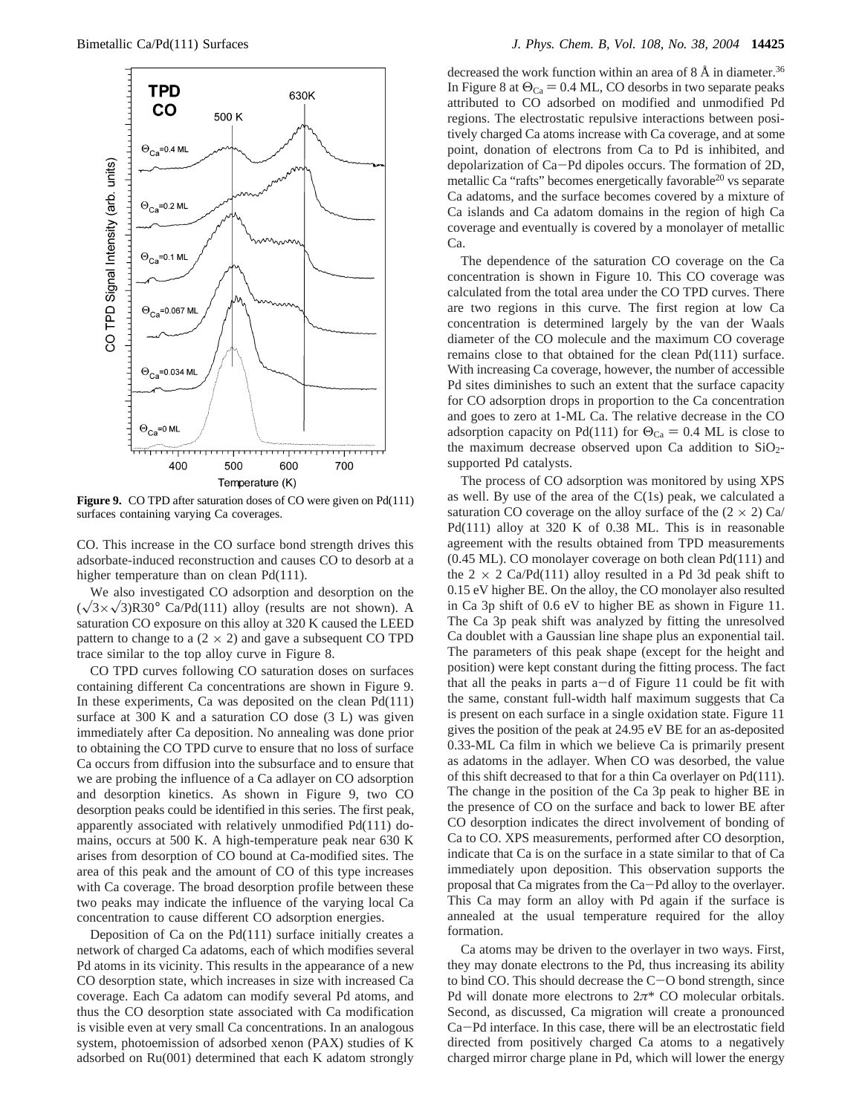

Figure 9. CO TPD after saturation doses of CO were given on Pd(111) surfaces containing varying Ca coverages.

CO. This increase in the CO surface bond strength drives this adsorbate-induced reconstruction and causes CO to desorb at a higher temperature than on clean Pd(111).

We also investigated CO adsorption and desorption on the  $(\sqrt{3} \times \sqrt{3})R30^{\circ}$  Ca/Pd(111) alloy (results are not shown). A saturation CO exposure on this alloy at 320 K caused the LEED pattern to change to a  $(2 \times 2)$  and gave a subsequent CO TPD trace similar to the top alloy curve in Figure 8.

CO TPD curves following CO saturation doses on surfaces containing different Ca concentrations are shown in Figure 9. In these experiments, Ca was deposited on the clean Pd(111) surface at 300 K and a saturation CO dose (3 L) was given immediately after Ca deposition. No annealing was done prior to obtaining the CO TPD curve to ensure that no loss of surface Ca occurs from diffusion into the subsurface and to ensure that we are probing the influence of a Ca adlayer on CO adsorption and desorption kinetics. As shown in Figure 9, two CO desorption peaks could be identified in this series. The first peak, apparently associated with relatively unmodified Pd(111) domains, occurs at 500 K. A high-temperature peak near 630 K arises from desorption of CO bound at Ca-modified sites. The area of this peak and the amount of CO of this type increases with Ca coverage. The broad desorption profile between these two peaks may indicate the influence of the varying local Ca concentration to cause different CO adsorption energies.

Deposition of Ca on the Pd(111) surface initially creates a network of charged Ca adatoms, each of which modifies several Pd atoms in its vicinity. This results in the appearance of a new CO desorption state, which increases in size with increased Ca coverage. Each Ca adatom can modify several Pd atoms, and thus the CO desorption state associated with Ca modification is visible even at very small Ca concentrations. In an analogous system, photoemission of adsorbed xenon (PAX) studies of K adsorbed on Ru(001) determined that each K adatom strongly

decreased the work function within an area of  $8 \text{ Å}$  in diameter.<sup>36</sup> In Figure 8 at  $\Theta_{\text{Ca}} = 0.4$  ML, CO desorbs in two separate peaks attributed to CO adsorbed on modified and unmodified Pd regions. The electrostatic repulsive interactions between positively charged Ca atoms increase with Ca coverage, and at some point, donation of electrons from Ca to Pd is inhibited, and depolarization of Ca-Pd dipoles occurs. The formation of 2D, metallic Ca "rafts" becomes energetically favorable<sup>20</sup> vs separate Ca adatoms, and the surface becomes covered by a mixture of Ca islands and Ca adatom domains in the region of high Ca coverage and eventually is covered by a monolayer of metallic Ca.

The dependence of the saturation CO coverage on the Ca concentration is shown in Figure 10. This CO coverage was calculated from the total area under the CO TPD curves. There are two regions in this curve. The first region at low Ca concentration is determined largely by the van der Waals diameter of the CO molecule and the maximum CO coverage remains close to that obtained for the clean Pd(111) surface. With increasing Ca coverage, however, the number of accessible Pd sites diminishes to such an extent that the surface capacity for CO adsorption drops in proportion to the Ca concentration and goes to zero at 1-ML Ca. The relative decrease in the CO adsorption capacity on Pd(111) for  $\Theta_{\text{Ca}} = 0.4$  ML is close to the maximum decrease observed upon Ca addition to  $SiO<sub>2</sub>$ supported Pd catalysts.

The process of CO adsorption was monitored by using XPS as well. By use of the area of the  $C(1s)$  peak, we calculated a saturation CO coverage on the alloy surface of the  $(2 \times 2)$  Ca Pd(111) alloy at 320 K of 0.38 ML. This is in reasonable agreement with the results obtained from TPD measurements (0.45 ML). CO monolayer coverage on both clean Pd(111) and the  $2 \times 2$  Ca/Pd(111) alloy resulted in a Pd 3d peak shift to 0.15 eV higher BE. On the alloy, the CO monolayer also resulted in Ca 3p shift of 0.6 eV to higher BE as shown in Figure 11. The Ca 3p peak shift was analyzed by fitting the unresolved Ca doublet with a Gaussian line shape plus an exponential tail. The parameters of this peak shape (except for the height and position) were kept constant during the fitting process. The fact that all the peaks in parts  $a-d$  of Figure 11 could be fit with the same, constant full-width half maximum suggests that Ca is present on each surface in a single oxidation state. Figure 11 gives the position of the peak at 24.95 eV BE for an as-deposited 0.33-ML Ca film in which we believe Ca is primarily present as adatoms in the adlayer. When CO was desorbed, the value of this shift decreased to that for a thin Ca overlayer on Pd(111). The change in the position of the Ca 3p peak to higher BE in the presence of CO on the surface and back to lower BE after CO desorption indicates the direct involvement of bonding of Ca to CO. XPS measurements, performed after CO desorption, indicate that Ca is on the surface in a state similar to that of Ca immediately upon deposition. This observation supports the proposal that Ca migrates from the Ca-Pd alloy to the overlayer. This Ca may form an alloy with Pd again if the surface is annealed at the usual temperature required for the alloy formation.

Ca atoms may be driven to the overlayer in two ways. First, they may donate electrons to the Pd, thus increasing its ability to bind CO. This should decrease the  $C-O$  bond strength, since Pd will donate more electrons to 2*π*\* CO molecular orbitals. Second, as discussed, Ca migration will create a pronounced Ca-Pd interface. In this case, there will be an electrostatic field directed from positively charged Ca atoms to a negatively charged mirror charge plane in Pd, which will lower the energy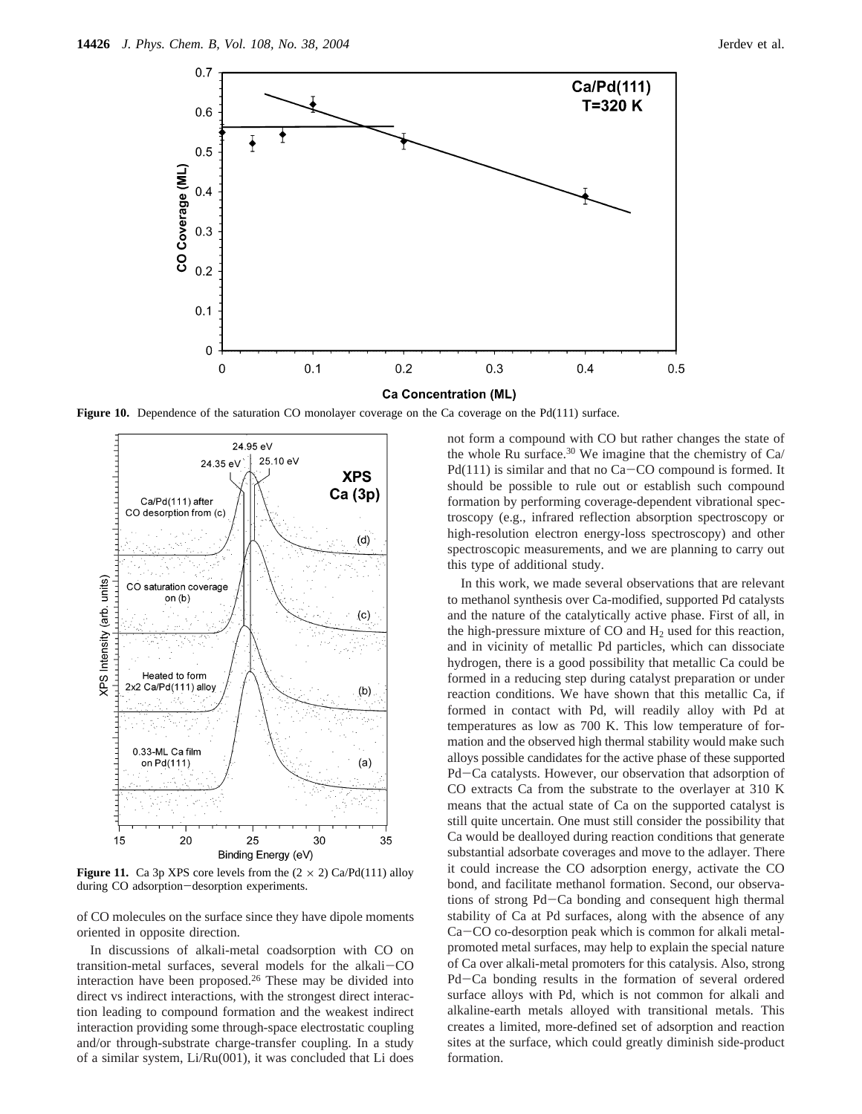

Figure 10. Dependence of the saturation CO monolayer coverage on the Ca coverage on the Pd(111) surface.



**Figure 11.** Ca 3p XPS core levels from the  $(2 \times 2)$  Ca/Pd(111) alloy during CO adsorption-desorption experiments.

of CO molecules on the surface since they have dipole moments oriented in opposite direction.

In discussions of alkali-metal coadsorption with CO on transition-metal surfaces, several models for the alkali-CO interaction have been proposed.<sup>26</sup> These may be divided into direct vs indirect interactions, with the strongest direct interaction leading to compound formation and the weakest indirect interaction providing some through-space electrostatic coupling and/or through-substrate charge-transfer coupling. In a study of a similar system, Li/Ru(001), it was concluded that Li does not form a compound with CO but rather changes the state of the whole Ru surface.<sup>30</sup> We imagine that the chemistry of  $Ca/$ Pd(111) is similar and that no Ca-CO compound is formed. It should be possible to rule out or establish such compound formation by performing coverage-dependent vibrational spectroscopy (e.g., infrared reflection absorption spectroscopy or high-resolution electron energy-loss spectroscopy) and other spectroscopic measurements, and we are planning to carry out this type of additional study.

In this work, we made several observations that are relevant to methanol synthesis over Ca-modified, supported Pd catalysts and the nature of the catalytically active phase. First of all, in the high-pressure mixture of  $CO$  and  $H<sub>2</sub>$  used for this reaction, and in vicinity of metallic Pd particles, which can dissociate hydrogen, there is a good possibility that metallic Ca could be formed in a reducing step during catalyst preparation or under reaction conditions. We have shown that this metallic Ca, if formed in contact with Pd, will readily alloy with Pd at temperatures as low as 700 K. This low temperature of formation and the observed high thermal stability would make such alloys possible candidates for the active phase of these supported Pd-Ca catalysts. However, our observation that adsorption of CO extracts Ca from the substrate to the overlayer at 310 K means that the actual state of Ca on the supported catalyst is still quite uncertain. One must still consider the possibility that Ca would be dealloyed during reaction conditions that generate substantial adsorbate coverages and move to the adlayer. There it could increase the CO adsorption energy, activate the CO bond, and facilitate methanol formation. Second, our observations of strong Pd-Ca bonding and consequent high thermal stability of Ca at Pd surfaces, along with the absence of any Ca-CO co-desorption peak which is common for alkali metalpromoted metal surfaces, may help to explain the special nature of Ca over alkali-metal promoters for this catalysis. Also, strong Pd-Ca bonding results in the formation of several ordered surface alloys with Pd, which is not common for alkali and alkaline-earth metals alloyed with transitional metals. This creates a limited, more-defined set of adsorption and reaction sites at the surface, which could greatly diminish side-product formation.